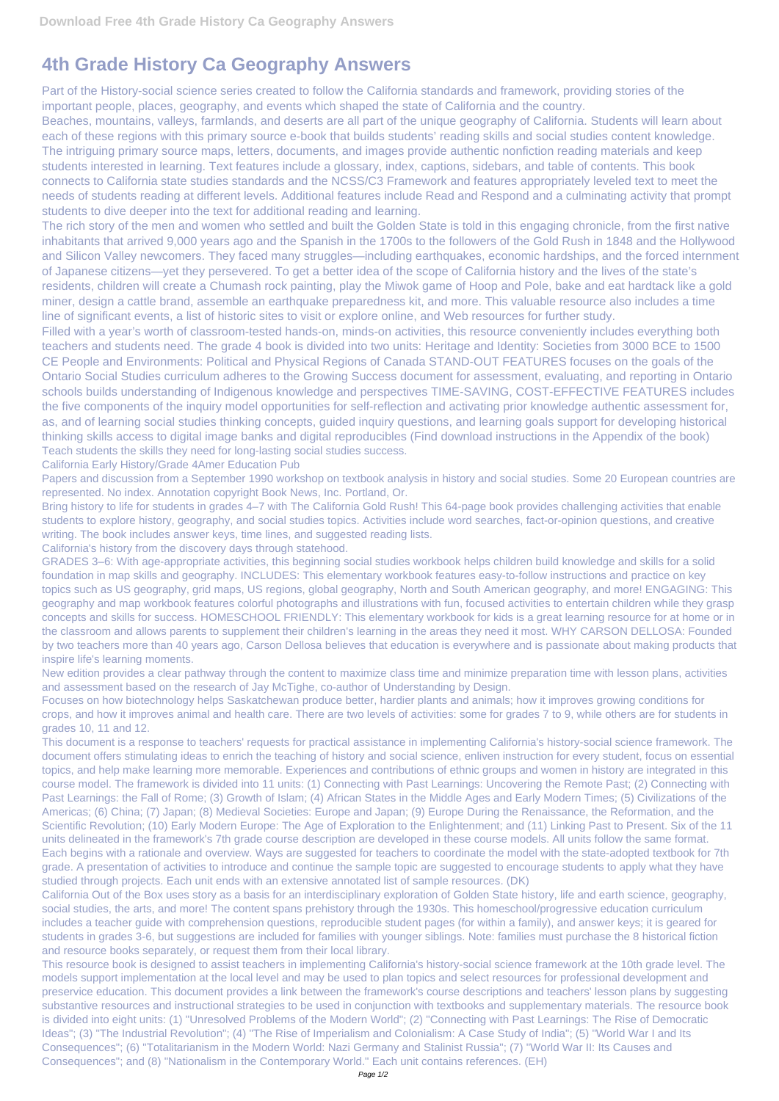## **4th Grade History Ca Geography Answers**

Part of the History-social science series created to follow the California standards and framework, providing stories of the important people, places, geography, and events which shaped the state of California and the country.

Beaches, mountains, valleys, farmlands, and deserts are all part of the unique geography of California. Students will learn about each of these regions with this primary source e-book that builds students' reading skills and social studies content knowledge. The intriguing primary source maps, letters, documents, and images provide authentic nonfiction reading materials and keep students interested in learning. Text features include a glossary, index, captions, sidebars, and table of contents. This book connects to California state studies standards and the NCSS/C3 Framework and features appropriately leveled text to meet the needs of students reading at different levels. Additional features include Read and Respond and a culminating activity that prompt students to dive deeper into the text for additional reading and learning.

The rich story of the men and women who settled and built the Golden State is told in this engaging chronicle, from the first native inhabitants that arrived 9,000 years ago and the Spanish in the 1700s to the followers of the Gold Rush in 1848 and the Hollywood and Silicon Valley newcomers. They faced many struggles—including earthquakes, economic hardships, and the forced internment of Japanese citizens—yet they persevered. To get a better idea of the scope of California history and the lives of the state's residents, children will create a Chumash rock painting, play the Miwok game of Hoop and Pole, bake and eat hardtack like a gold miner, design a cattle brand, assemble an earthquake preparedness kit, and more. This valuable resource also includes a time line of significant events, a list of historic sites to visit or explore online, and Web resources for further study.

Filled with a year's worth of classroom-tested hands-on, minds-on activities, this resource conveniently includes everything both teachers and students need. The grade 4 book is divided into two units: Heritage and Identity: Societies from 3000 BCE to 1500 CE People and Environments: Political and Physical Regions of Canada STAND-OUT FEATURES focuses on the goals of the Ontario Social Studies curriculum adheres to the Growing Success document for assessment, evaluating, and reporting in Ontario schools builds understanding of Indigenous knowledge and perspectives TIME-SAVING, COST-EFFECTIVE FEATURES includes the five components of the inquiry model opportunities for self-reflection and activating prior knowledge authentic assessment for, as, and of learning social studies thinking concepts, guided inquiry questions, and learning goals support for developing historical thinking skills access to digital image banks and digital reproducibles (Find download instructions in the Appendix of the book) Teach students the skills they need for long-lasting social studies success.

California Early History/Grade 4Amer Education Pub

Papers and discussion from a September 1990 workshop on textbook analysis in history and social studies. Some 20 European countries are represented. No index. Annotation copyright Book News, Inc. Portland, Or.

Bring history to life for students in grades 4–7 with The California Gold Rush! This 64-page book provides challenging activities that enable students to explore history, geography, and social studies topics. Activities include word searches, fact-or-opinion questions, and creative writing. The book includes answer keys, time lines, and suggested reading lists.

California's history from the discovery days through statehood.

GRADES 3–6: With age-appropriate activities, this beginning social studies workbook helps children build knowledge and skills for a solid foundation in map skills and geography. INCLUDES: This elementary workbook features easy-to-follow instructions and practice on key topics such as US geography, grid maps, US regions, global geography, North and South American geography, and more! ENGAGING: This geography and map workbook features colorful photographs and illustrations with fun, focused activities to entertain children while they grasp concepts and skills for success. HOMESCHOOL FRIENDLY: This elementary workbook for kids is a great learning resource for at home or in the classroom and allows parents to supplement their children's learning in the areas they need it most. WHY CARSON DELLOSA: Founded by two teachers more than 40 years ago, Carson Dellosa believes that education is everywhere and is passionate about making products that inspire life's learning moments.

New edition provides a clear pathway through the content to maximize class time and minimize preparation time with lesson plans, activities and assessment based on the research of Jay McTighe, co-author of Understanding by Design.

Focuses on how biotechnology helps Saskatchewan produce better, hardier plants and animals; how it improves growing conditions for crops, and how it improves animal and health care. There are two levels of activities: some for grades 7 to 9, while others are for students in grades 10, 11 and 12.

This document is a response to teachers' requests for practical assistance in implementing California's history-social science framework. The document offers stimulating ideas to enrich the teaching of history and social science, enliven instruction for every student, focus on essential topics, and help make learning more memorable. Experiences and contributions of ethnic groups and women in history are integrated in this course model. The framework is divided into 11 units: (1) Connecting with Past Learnings: Uncovering the Remote Past; (2) Connecting with Past Learnings: the Fall of Rome; (3) Growth of Islam; (4) African States in the Middle Ages and Early Modern Times; (5) Civilizations of the Americas; (6) China; (7) Japan; (8) Medieval Societies: Europe and Japan; (9) Europe During the Renaissance, the Reformation, and the Scientific Revolution; (10) Early Modern Europe: The Age of Exploration to the Enlightenment; and (11) Linking Past to Present. Six of the 11

units delineated in the framework's 7th grade course description are developed in these course models. All units follow the same format. Each begins with a rationale and overview. Ways are suggested for teachers to coordinate the model with the state-adopted textbook for 7th grade. A presentation of activities to introduce and continue the sample topic are suggested to encourage students to apply what they have studied through projects. Each unit ends with an extensive annotated list of sample resources. (DK)

California Out of the Box uses story as a basis for an interdisciplinary exploration of Golden State history, life and earth science, geography, social studies, the arts, and more! The content spans prehistory through the 1930s. This homeschool/progressive education curriculum includes a teacher guide with comprehension questions, reproducible student pages (for within a family), and answer keys; it is geared for students in grades 3-6, but suggestions are included for families with younger siblings. Note: families must purchase the 8 historical fiction and resource books separately, or request them from their local library.

This resource book is designed to assist teachers in implementing California's history-social science framework at the 10th grade level. The models support implementation at the local level and may be used to plan topics and select resources for professional development and preservice education. This document provides a link between the framework's course descriptions and teachers' lesson plans by suggesting substantive resources and instructional strategies to be used in conjunction with textbooks and supplementary materials. The resource book is divided into eight units: (1) "Unresolved Problems of the Modern World"; (2) "Connecting with Past Learnings: The Rise of Democratic Ideas"; (3) "The Industrial Revolution"; (4) "The Rise of Imperialism and Colonialism: A Case Study of India"; (5) "World War I and Its Consequences"; (6) "Totalitarianism in the Modern World: Nazi Germany and Stalinist Russia"; (7) "World War II: Its Causes and Consequences"; and (8) "Nationalism in the Contemporary World." Each unit contains references. (EH)